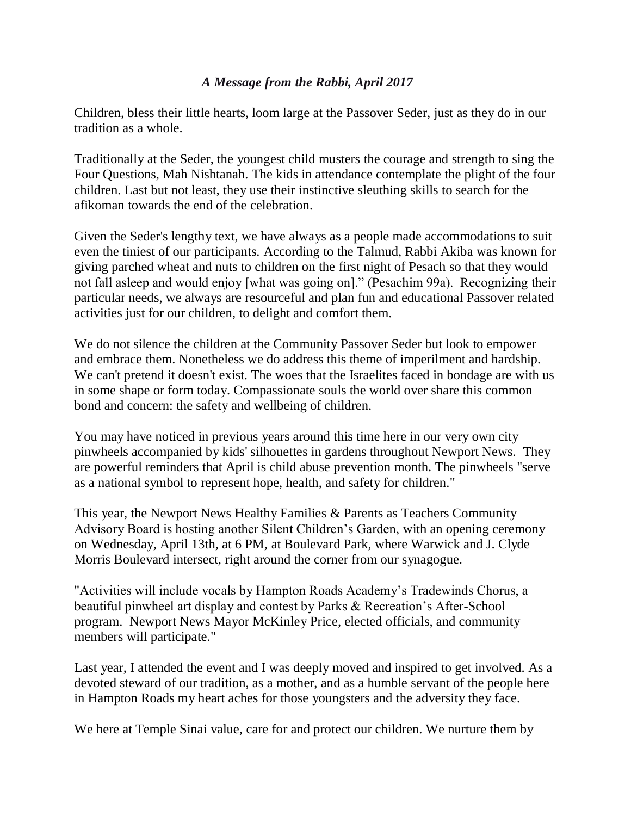## *A Message from the Rabbi, April 2017*

Children, bless their little hearts, loom large at the Passover Seder, just as they do in our tradition as a whole.

Traditionally at the Seder, the youngest child musters the courage and strength to sing the Four Questions, Mah Nishtanah. The kids in attendance contemplate the plight of the four children. Last but not least, they use their instinctive sleuthing skills to search for the afikoman towards the end of the celebration.

Given the Seder's lengthy text, we have always as a people made accommodations to suit even the tiniest of our participants. According to the Talmud, Rabbi Akiba was known for giving parched wheat and nuts to children on the first night of Pesach so that they would not fall asleep and would enjoy [what was going on]." (Pesachim 99a). Recognizing their particular needs, we always are resourceful and plan fun and educational Passover related activities just for our children, to delight and comfort them.

We do not silence the children at the Community Passover Seder but look to empower and embrace them. Nonetheless we do address this theme of imperilment and hardship. We can't pretend it doesn't exist. The woes that the Israelites faced in bondage are with us in some shape or form today. Compassionate souls the world over share this common bond and concern: the safety and wellbeing of children.

You may have noticed in previous years around this time here in our very own city pinwheels accompanied by kids' silhouettes in gardens throughout Newport News. They are powerful reminders that April is child abuse prevention month. The pinwheels "serve as a national symbol to represent hope, health, and safety for children."

This year, the Newport News Healthy Families & Parents as Teachers Community Advisory Board is hosting another Silent Children's Garden, with an opening ceremony on Wednesday, April 13th, at 6 PM, at Boulevard Park, where Warwick and J. Clyde Morris Boulevard intersect, right around the corner from our synagogue.

"Activities will include vocals by Hampton Roads Academy's Tradewinds Chorus, a beautiful pinwheel art display and contest by Parks & Recreation's After-School program. Newport News Mayor McKinley Price, elected officials, and community members will participate."

Last year, I attended the event and I was deeply moved and inspired to get involved. As a devoted steward of our tradition, as a mother, and as a humble servant of the people here in Hampton Roads my heart aches for those youngsters and the adversity they face.

We here at Temple Sinai value, care for and protect our children. We nurture them by